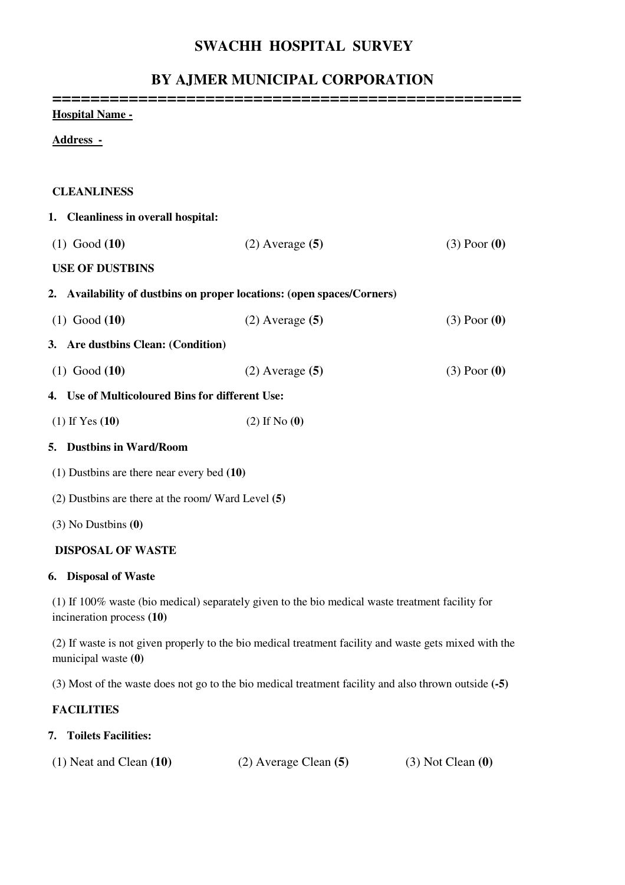## **SWACHH HOSPITAL SURVEY**

# **BY AJMER MUNICIPAL CORPORATION**

| <b>Hospital Name -</b>                                                 |                                                                                                        |                  |
|------------------------------------------------------------------------|--------------------------------------------------------------------------------------------------------|------------------|
| <u> Address -</u>                                                      |                                                                                                        |                  |
|                                                                        |                                                                                                        |                  |
| <b>CLEANLINESS</b>                                                     |                                                                                                        |                  |
| 1. Cleanliness in overall hospital:                                    |                                                                                                        |                  |
| $(1)$ Good $(10)$                                                      | $(2)$ Average $(5)$                                                                                    | $(3)$ Poor $(0)$ |
| <b>USE OF DUSTBINS</b>                                                 |                                                                                                        |                  |
| 2. Availability of dustbins on proper locations: (open spaces/Corners) |                                                                                                        |                  |
| $(1)$ Good $(10)$                                                      | $(2)$ Average $(5)$                                                                                    | $(3)$ Poor $(0)$ |
| 3. Are dustbins Clean: (Condition)                                     |                                                                                                        |                  |
| $(1)$ Good $(10)$                                                      | $(2)$ Average $(5)$                                                                                    | $(3)$ Poor $(0)$ |
| 4. Use of Multicoloured Bins for different Use:                        |                                                                                                        |                  |
| $(1)$ If Yes $(10)$                                                    | $(2)$ If No $(0)$                                                                                      |                  |
| 5. Dustbins in Ward/Room                                               |                                                                                                        |                  |
| $(1)$ Dustbins are there near every bed $(10)$                         |                                                                                                        |                  |
| $(2)$ Dustbins are there at the room/Ward Level $(5)$                  |                                                                                                        |                  |
| $(3)$ No Dustbins $(0)$                                                |                                                                                                        |                  |
| <b>DISPOSAL OF WASTE</b>                                               |                                                                                                        |                  |
| 6. Disposal of Waste                                                   |                                                                                                        |                  |
| incineration process (10)                                              | (1) If 100% waste (bio medical) separately given to the bio medical waste treatment facility for       |                  |
|                                                                        | (2) If weets is not given properly to the his modical treatment feaility and weets gate mixed with the |                  |

(2) If waste is not given properly to the bio medical treatment facility and waste gets mixed with the municipal waste **(0)**

(3) Most of the waste does not go to the bio medical treatment facility and also thrown outside **(-5)** 

### **FACILITIES**

### **7. Toilets Facilities:**

| $(1)$ Neat and Clean $(10)$ | $(2)$ Average Clean $(5)$ | $(3)$ Not Clean $(0)$ |
|-----------------------------|---------------------------|-----------------------|
|-----------------------------|---------------------------|-----------------------|